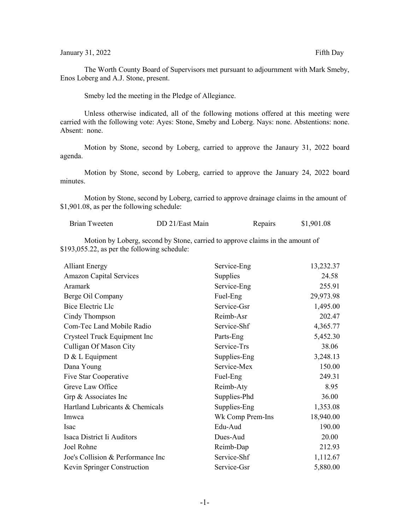## January 31, 2022 Fifth Day

The Worth County Board of Supervisors met pursuant to adjournment with Mark Smeby, Enos Loberg and A.J. Stone, present.

Smeby led the meeting in the Pledge of Allegiance.

Unless otherwise indicated, all of the following motions offered at this meeting were carried with the following vote: Ayes: Stone, Smeby and Loberg. Nays: none. Abstentions: none. Absent: none.

Motion by Stone, second by Loberg, carried to approve the Janaury 31, 2022 board agenda.

Motion by Stone, second by Loberg, carried to approve the January 24, 2022 board minutes.

Motion by Stone, second by Loberg, carried to approve drainage claims in the amount of \$1,901.08, as per the following schedule:

| Brian Tweeten | DD 21/East Main | Repairs | \$1,901.08 |
|---------------|-----------------|---------|------------|
|---------------|-----------------|---------|------------|

Motion by Loberg, second by Stone, carried to approve claims in the amount of \$193,055.22, as per the following schedule:

| <b>Alliant Energy</b>             | Service-Eng      | 13,232.37 |
|-----------------------------------|------------------|-----------|
| <b>Amazon Capital Services</b>    | Supplies         | 24.58     |
| Aramark                           | Service-Eng      | 255.91    |
| Berge Oil Company                 | Fuel-Eng         | 29,973.98 |
| Bice Electric Llc                 | Service-Gsr      | 1,495.00  |
| Cindy Thompson                    | Reimb-Asr        | 202.47    |
| Com-Tec Land Mobile Radio         | Service-Shf      | 4,365.77  |
| Crysteel Truck Equipment Inc      | Parts-Eng        | 5,452.30  |
| Culligan Of Mason City            | Service-Trs      | 38.06     |
| $D & L$ Equipment                 | Supplies-Eng     | 3,248.13  |
| Dana Young                        | Service-Mex      | 150.00    |
| Five Star Cooperative             | Fuel-Eng         | 249.31    |
| Greve Law Office                  | Reimb-Aty        | 8.95      |
| Grp & Associates Inc              | Supplies-Phd     | 36.00     |
| Hartland Lubricants & Chemicals   | Supplies-Eng     | 1,353.08  |
| Imwca                             | Wk Comp Prem-Ins | 18,940.00 |
| Isac                              | Edu-Aud          | 190.00    |
| Isaca District Ii Auditors        | Dues-Aud         | 20.00     |
| Joel Rohne                        | Reimb-Dap        | 212.93    |
| Joe's Collision & Performance Inc | Service-Shf      | 1,112.67  |
| Kevin Springer Construction       | Service-Gsr      | 5,880.00  |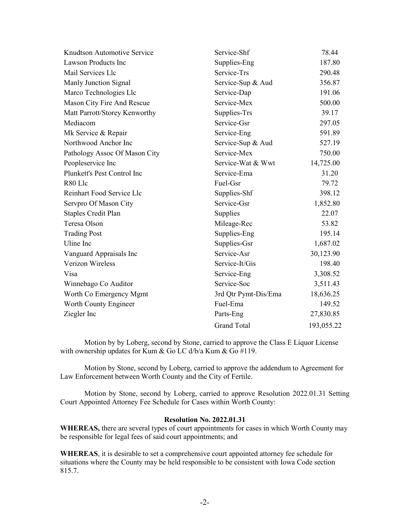| Knudtson Automotive Service   | Service-Shf          | 78.44      |
|-------------------------------|----------------------|------------|
| <b>Lawson Products Inc</b>    | Supplies-Eng         | 187.80     |
| Mail Services Llc             | Service-Trs          | 290.48     |
| Manly Junction Signal         | Service-Sup & Aud    | 356.87     |
| Marco Technologies Llc        | Service-Dap          | 191.06     |
| Mason City Fire And Rescue    | Service-Mex          | 500.00     |
| Matt Parrott/Storey Kenworthy | Supplies-Trs         | 39.17      |
| Mediacom                      | Service-Gsr          | 297.05     |
| Mk Service & Repair           | Service-Eng          | 591.89     |
| Northwood Anchor Inc          | Service-Sup & Aud    | 527.19     |
| Pathology Assoc Of Mason City | Service-Mex          | 750.00     |
| Peopleservice Inc             | Service-Wat & Wwt    | 14,725.00  |
| Plunkett's Pest Control Inc   | Service-Ema          | 31.20      |
| R80 Llc                       | Fuel-Gsr             | 79.72      |
| Reinhart Food Service Llc     | Supplies-Shf         | 398.12     |
| Servpro Of Mason City         | Service-Gsr          | 1,852.80   |
| <b>Staples Credit Plan</b>    | Supplies             | 22.07      |
| Teresa Olson                  | Mileage-Rec          | 53.82      |
| <b>Trading Post</b>           | Supplies-Eng         | 195.14     |
| Uline Inc                     | Supplies-Gsr         | 1,687.02   |
| Vanguard Appraisals Inc       | Service-Asr          | 30,123.90  |
| Verizon Wireless              | Service-It/Gis       | 198.40     |
| Visa                          | Service-Eng          | 3,308.52   |
| Winnebago Co Auditor          | Service-Soc          | 3,511.43   |
| Worth Co Emergency Mgmt       | 3rd Qtr Pymt-Dis/Ema | 18,636.25  |
| Worth County Engineer         | Fuel-Ema             | 149.52     |
| Ziegler Inc                   | Parts-Eng            | 27,830.85  |
|                               | <b>Grand Total</b>   | 193,055.22 |

Motion by by Loberg, second by Stone, carried to approve the Class E Liquor License with ownership updates for Kum & Go LC d/b/a Kum & Go #119.

Motion by Stone, second by Loberg, carried to approve the addendum to Agreement for Law Enforcement between Worth County and the City of Fertile.

Motion by Stone, second by Loberg, carried to approve Resolution 2022.01.31 Setting Court Appointed Attorney Fee Schedule for Cases within Worth County:

## **Resolution No. 2022.01.31**

**WHEREAS,** there are several types of court appointments for cases in which Worth County may be responsible for legal fees of said court appointments; and

**WHEREAS**, it is desirable to set a comprehensive court appointed attorney fee schedule for situations where the County may be held responsible to be consistent with Iowa Code section 815.7.